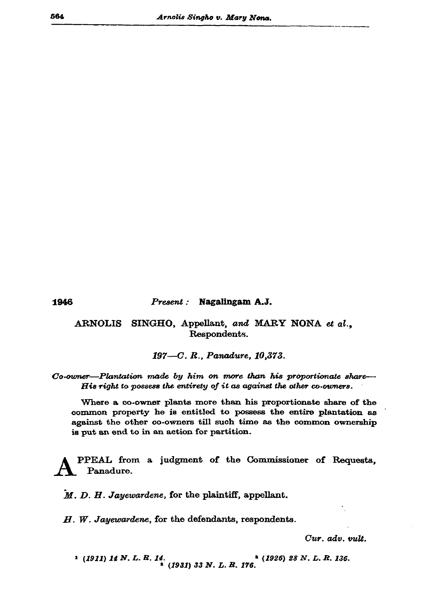1946

## Present: Nagalingam A.J.

## ARNOLIS SINGHO, Appellant, and MARY NONA et al., Respondents.

197-C. R., Panadure, 10,373.

Co-owner-Plantation made by him on more than his proportionate share-His right to possess the entirety of it as against the other co-owners.

Where a co-owner plants more than his proportionate share of the common property he is entitled to possess the entire plantation as against the other co-owners till such time as the common ownership is put an end to in an action for partition.

PPEAL from a judgment of the Commissioner of Requests, Panadure.

M. D. H. Jayewardene, for the plaintiff, appellant.

 $H.$  W. Jayewardene, for the defendants, respondents.

Cur. adv. vult.

 $(1911)$  14 N. L. R. 14.<br>(1931) 33 N. L. R. 176.<br>(1935) 33 N. L. R. 176.